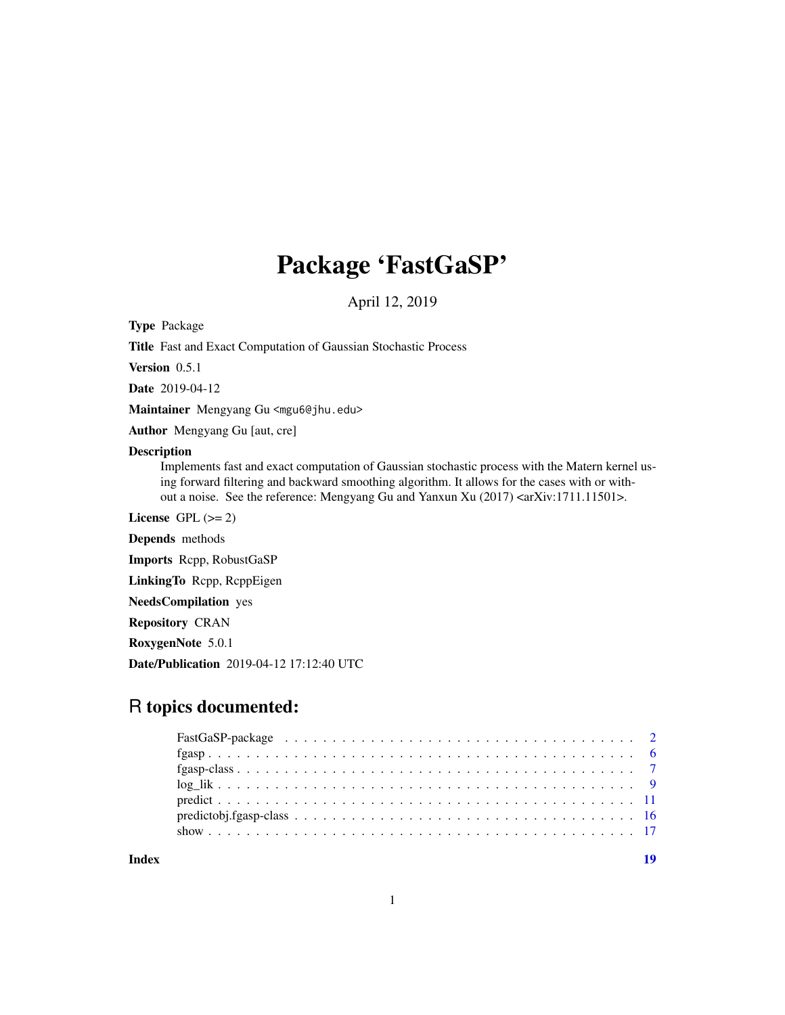## Package 'FastGaSP'

April 12, 2019

Type Package

Title Fast and Exact Computation of Gaussian Stochastic Process

Version 0.5.1

Date 2019-04-12

Maintainer Mengyang Gu <mgu6@jhu.edu>

Author Mengyang Gu [aut, cre]

## Description

Implements fast and exact computation of Gaussian stochastic process with the Matern kernel using forward filtering and backward smoothing algorithm. It allows for the cases with or without a noise. See the reference: Mengyang Gu and Yanxun Xu (2017) <arXiv:1711.11501>.

License GPL  $(>= 2)$ 

Depends methods

Imports Rcpp, RobustGaSP

LinkingTo Rcpp, RcppEigen

NeedsCompilation yes

Repository CRAN

RoxygenNote 5.0.1

Date/Publication 2019-04-12 17:12:40 UTC

## R topics documented:

**Index** 2008 **Index** 2008 **Index**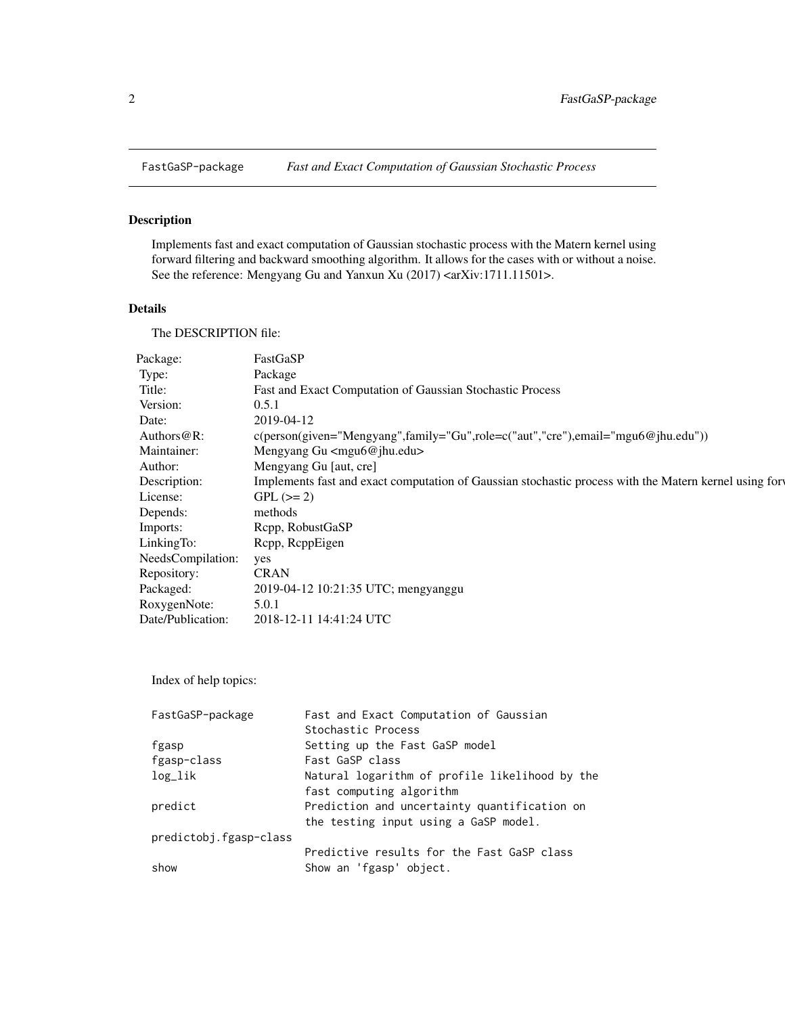<span id="page-1-1"></span><span id="page-1-0"></span>

Implements fast and exact computation of Gaussian stochastic process with the Matern kernel using forward filtering and backward smoothing algorithm. It allows for the cases with or without a noise. See the reference: Mengyang Gu and Yanxun Xu (2017) <arXiv:1711.11501>.

#### Details

The DESCRIPTION file:

| Package:          | FastGaSP                                                                                              |
|-------------------|-------------------------------------------------------------------------------------------------------|
| Type:             | Package                                                                                               |
| Title:            | Fast and Exact Computation of Gaussian Stochastic Process                                             |
| Version:          | 0.5.1                                                                                                 |
| Date:             | 2019-04-12                                                                                            |
| Authors@R:        | c(person(given="Mengyang",family="Gu",role=c("aut","cre"),email="mgu6@jhu.edu"))                      |
| Maintainer:       | Mengyang Gu <mgu6@jhu.edu></mgu6@jhu.edu>                                                             |
| Author:           | Mengyang Gu [aut, cre]                                                                                |
| Description:      | Implements fast and exact computation of Gaussian stochastic process with the Matern kernel using for |
| License:          | $GPL (= 2)$                                                                                           |
| Depends:          | methods                                                                                               |
| Imports:          | Rcpp, RobustGaSP                                                                                      |
| LinkingTo:        | Rcpp, RcppEigen                                                                                       |
| NeedsCompilation: | yes                                                                                                   |
| Repository:       | CRAN                                                                                                  |
| Packaged:         | 2019-04-12 10:21:35 UTC; mengyanggu                                                                   |
| RoxygenNote:      | 5.0.1                                                                                                 |
| Date/Publication: | 2018-12-11 14:41:24 UTC                                                                               |
|                   |                                                                                                       |

Index of help topics:

| FastGaSP-package       | Fast and Exact Computation of Gaussian         |
|------------------------|------------------------------------------------|
|                        | Stochastic Process                             |
| fgasp                  | Setting up the Fast GaSP model                 |
| fgasp-class            | Fast GaSP class                                |
| $log\_lik$             | Natural logarithm of profile likelihood by the |
|                        | fast computing algorithm                       |
| predict                | Prediction and uncertainty quantification on   |
|                        | the testing input using a GaSP model.          |
| predictobj.fgasp-class |                                                |
|                        | Predictive results for the Fast GaSP class     |
| show                   | Show an 'fgasp' object.                        |
|                        |                                                |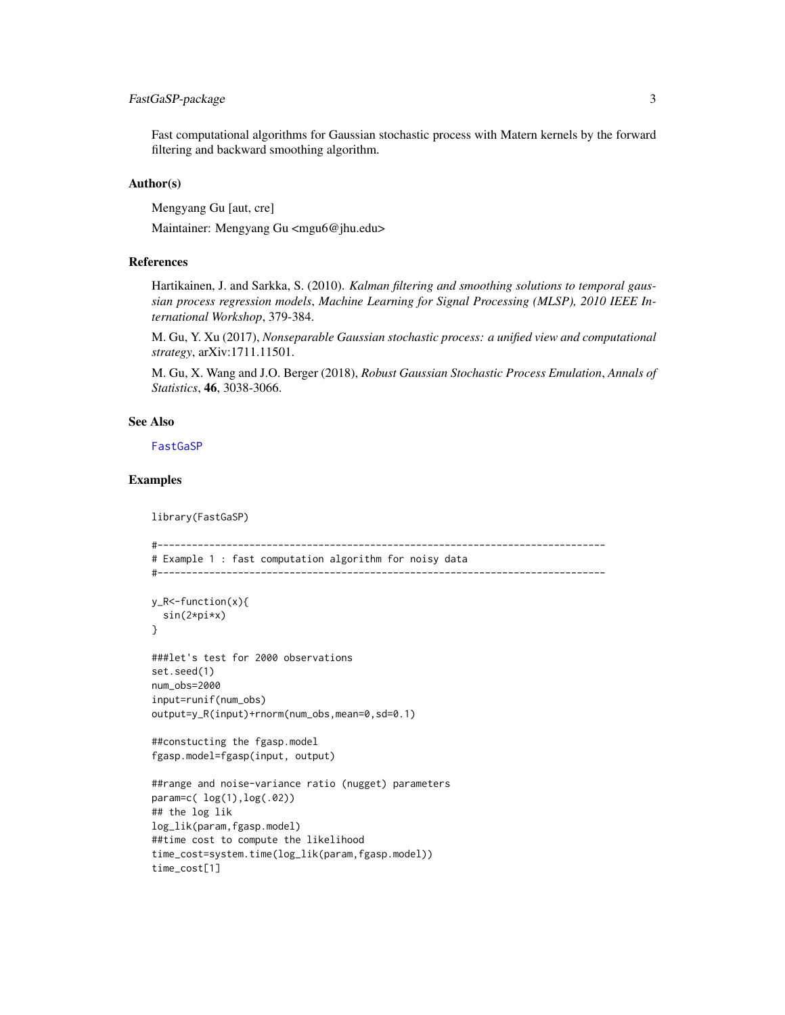## <span id="page-2-0"></span>FastGaSP-package 3

Fast computational algorithms for Gaussian stochastic process with Matern kernels by the forward filtering and backward smoothing algorithm.

## Author(s)

Mengyang Gu [aut, cre]

Maintainer: Mengyang Gu <mgu6@jhu.edu>

## References

Hartikainen, J. and Sarkka, S. (2010). *Kalman filtering and smoothing solutions to temporal gaussian process regression models*, *Machine Learning for Signal Processing (MLSP), 2010 IEEE International Workshop*, 379-384.

M. Gu, Y. Xu (2017), *Nonseparable Gaussian stochastic process: a unified view and computational strategy*, arXiv:1711.11501.

M. Gu, X. Wang and J.O. Berger (2018), *Robust Gaussian Stochastic Process Emulation*, *Annals of Statistics*, 46, 3038-3066.

#### See Also

[FastGaSP](#page-1-1)

### Examples

```
library(FastGaSP)
```

```
#------------------------------------------------------------------------------
# Example 1 : fast computation algorithm for noisy data
#------------------------------------------------------------------------------
y_R<-function(x){
  sin(2*pi*x)
}
###let's test for 2000 observations
set.seed(1)
num_obs=2000
input=runif(num_obs)
output=y_R(input)+rnorm(num_obs,mean=0,sd=0.1)
##constucting the fgasp.model
fgasp.model=fgasp(input, output)
##range and noise-variance ratio (nugget) parameters
param=c( log(1),log(.02))
## the log lik
log_lik(param,fgasp.model)
##time cost to compute the likelihood
time_cost=system.time(log_lik(param,fgasp.model))
time_cost[1]
```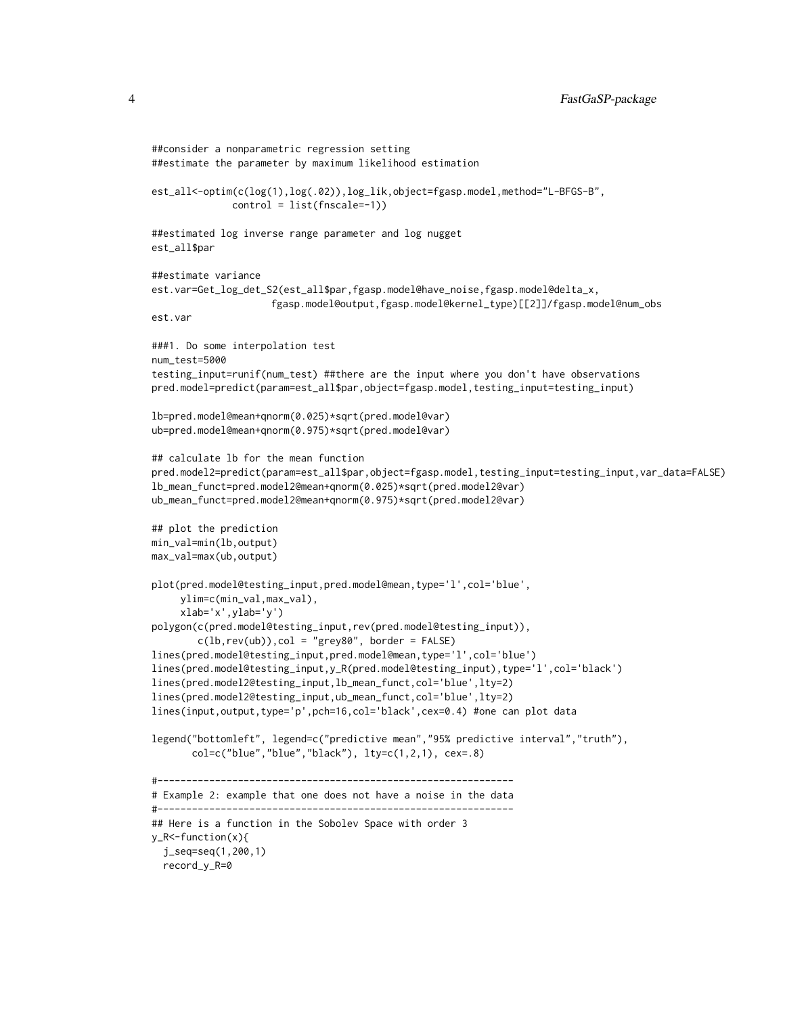```
##consider a nonparametric regression setting
##estimate the parameter by maximum likelihood estimation
est_all<-optim(c(log(1),log(.02)),log_lik,object=fgasp.model,method="L-BFGS-B",
             control = list(fnscale=-1))
##estimated log inverse range parameter and log nugget
est_all$par
##estimate variance
est.var=Get_log_det_S2(est_all$par,fgasp.model@have_noise,fgasp.model@delta_x,
                     fgasp.model@output,fgasp.model@kernel_type)[[2]]/fgasp.model@num_obs
est.var
###1. Do some interpolation test
num_test=5000
testing_input=runif(num_test) ##there are the input where you don't have observations
pred.model=predict(param=est_all$par,object=fgasp.model,testing_input=testing_input)
lb=pred.model@mean+qnorm(0.025)*sqrt(pred.model@var)
ub=pred.model@mean+qnorm(0.975)*sqrt(pred.model@var)
## calculate lb for the mean function
pred.model2=predict(param=est_all$par,object=fgasp.model,testing_input=testing_input,var_data=FALSE)
lb_mean_funct=pred.model2@mean+qnorm(0.025)*sqrt(pred.model2@var)
ub_mean_funct=pred.model2@mean+qnorm(0.975)*sqrt(pred.model2@var)
## plot the prediction
min_val=min(lb,output)
max_val=max(ub,output)
plot(pred.model@testing_input,pred.model@mean,type='l',col='blue',
    ylim=c(min_val,max_val),
     xlab='x',ylab='y')
polygon(c(pred.model@testing_input,rev(pred.model@testing_input)),
        c(lb,rev(ub)),col = "grey80", border = FALSE)lines(pred.model@testing_input,pred.model@mean,type='l',col='blue')
lines(pred.model@testing_input,y_R(pred.model@testing_input),type='l',col='black')
lines(pred.model2@testing_input,lb_mean_funct,col='blue',lty=2)
lines(pred.model2@testing_input,ub_mean_funct,col='blue',lty=2)
lines(input, output, type='p', pch=16, col='black', cex=0.4) #one can plot data
legend("bottomleft", legend=c("predictive mean","95% predictive interval","truth"),
      col=c("blue","blue","black"), lty=c(1,2,1), cex=.8)
#--------------------------------------------------------------
# Example 2: example that one does not have a noise in the data
#--------------------------------------------------------------
## Here is a function in the Sobolev Space with order 3
y_R<-function(x){
 j_seq=seq(1,200,1)
 record_y_R=0
```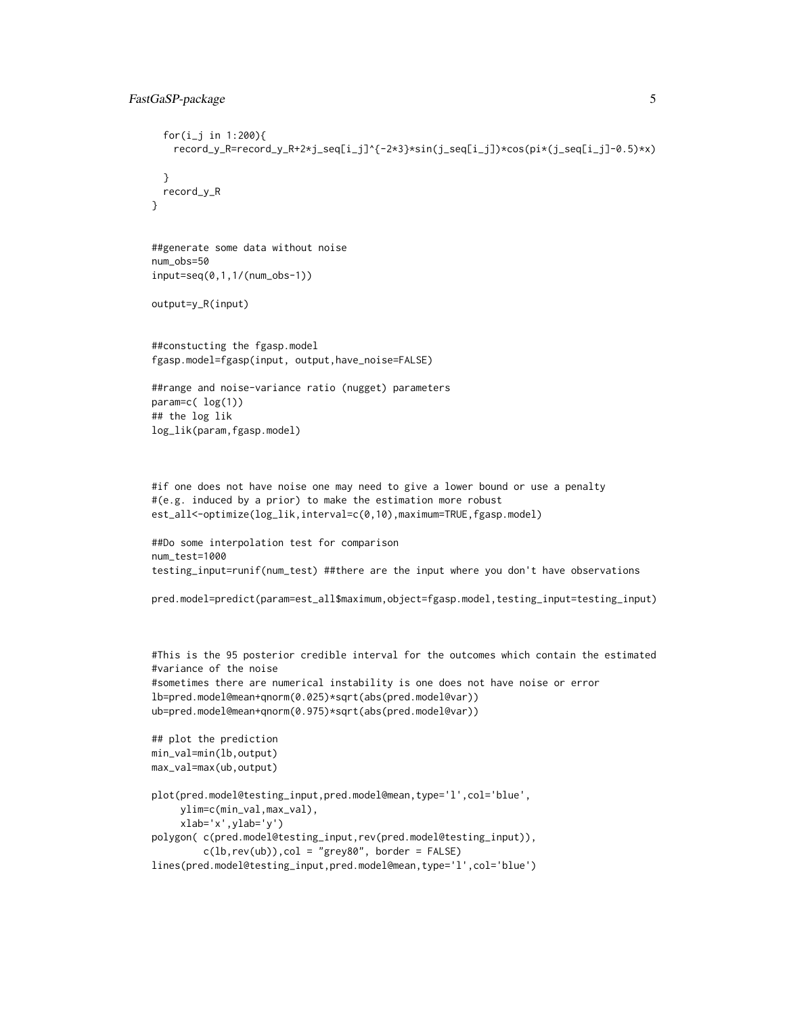## FastGaSP-package 5

```
for(i_j in 1:200){
   record_y_R=record_y_R+2*j_seq[i_j]^{-2*3}*sin(j_seq[i_j])*cos(pi*(j_seq[i_j]-0.5)*x)
 }
 record_y_R
}
##generate some data without noise
num_obs=50
input=seq(0,1,1/(num_obs-1))
output=y_R(input)
##constucting the fgasp.model
fgasp.model=fgasp(input, output,have_noise=FALSE)
##range and noise-variance ratio (nugget) parameters
param=c( log(1))
## the log lik
log_lik(param,fgasp.model)
#if one does not have noise one may need to give a lower bound or use a penalty
#(e.g. induced by a prior) to make the estimation more robust
est_all<-optimize(log_lik,interval=c(0,10),maximum=TRUE,fgasp.model)
##Do some interpolation test for comparison
num_test=1000
testing_input=runif(num_test) ##there are the input where you don't have observations
pred.model=predict(param=est_all$maximum,object=fgasp.model,testing_input=testing_input)
#This is the 95 posterior credible interval for the outcomes which contain the estimated
#variance of the noise
#sometimes there are numerical instability is one does not have noise or error
lb=pred.model@mean+qnorm(0.025)*sqrt(abs(pred.model@var))
ub=pred.model@mean+qnorm(0.975)*sqrt(abs(pred.model@var))
```

```
## plot the prediction
min_val=min(lb,output)
max_val=max(ub,output)
```

```
plot(pred.model@testing_input,pred.model@mean,type='l',col='blue',
    ylim=c(min_val,max_val),
     xlab='x',ylab='y')
polygon( c(pred.model@testing_input,rev(pred.model@testing_input)),
         c(1b,rev(ub)), col = "grey80", border = FALSE)lines(pred.model@testing_input,pred.model@mean,type='l',col='blue')
```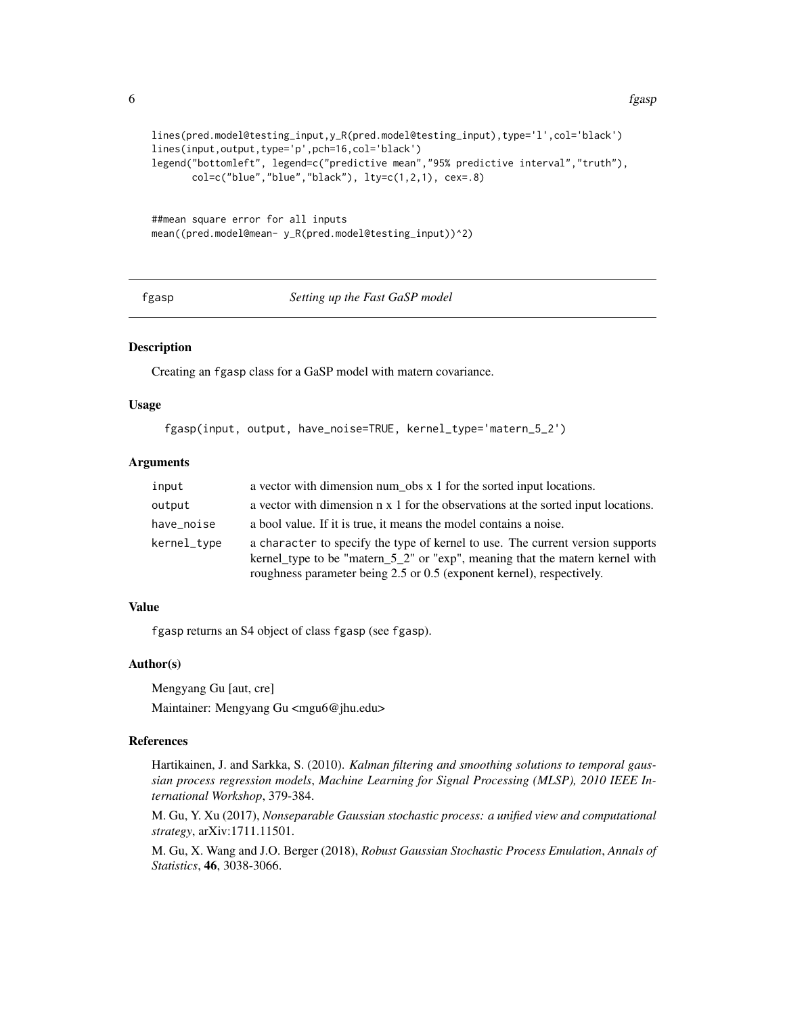```
lines(pred.model@testing_input,y_R(pred.model@testing_input),type='l',col='black')
lines(input,output,type='p',pch=16,col='black')
legend("bottomleft", legend=c("predictive mean","95% predictive interval","truth"),
       col=c("blue", "blue", "black"), \, lty=c(1,2,1), \, cex=.8)
```

```
##mean square error for all inputs
mean((pred.model@mean- y_R(pred.model@testing_input))^2)
```
<span id="page-5-1"></span>fgasp *Setting up the Fast GaSP model*

#### **Description**

Creating an fgasp class for a GaSP model with matern covariance.

## Usage

```
fgasp(input, output, have_noise=TRUE, kernel_type='matern_5_2')
```
#### Arguments

| input       | a vector with dimension num obs x 1 for the sorted input locations.                                                                                                                                                                     |
|-------------|-----------------------------------------------------------------------------------------------------------------------------------------------------------------------------------------------------------------------------------------|
| output      | a vector with dimension n x 1 for the observations at the sorted input locations.                                                                                                                                                       |
| have_noise  | a bool value. If it is true, it means the model contains a noise.                                                                                                                                                                       |
| kernel_type | a character to specify the type of kernel to use. The current version supports<br>kernel_type to be "matern_5_2" or "exp", meaning that the matern kernel with<br>roughness parameter being 2.5 or 0.5 (exponent kernel), respectively. |

## Value

fgasp returns an S4 object of class fgasp (see fgasp).

## Author(s)

Mengyang Gu [aut, cre]

Maintainer: Mengyang Gu <mgu6@jhu.edu>

## References

Hartikainen, J. and Sarkka, S. (2010). *Kalman filtering and smoothing solutions to temporal gaussian process regression models*, *Machine Learning for Signal Processing (MLSP), 2010 IEEE International Workshop*, 379-384.

M. Gu, Y. Xu (2017), *Nonseparable Gaussian stochastic process: a unified view and computational strategy*, arXiv:1711.11501.

M. Gu, X. Wang and J.O. Berger (2018), *Robust Gaussian Stochastic Process Emulation*, *Annals of Statistics*, 46, 3038-3066.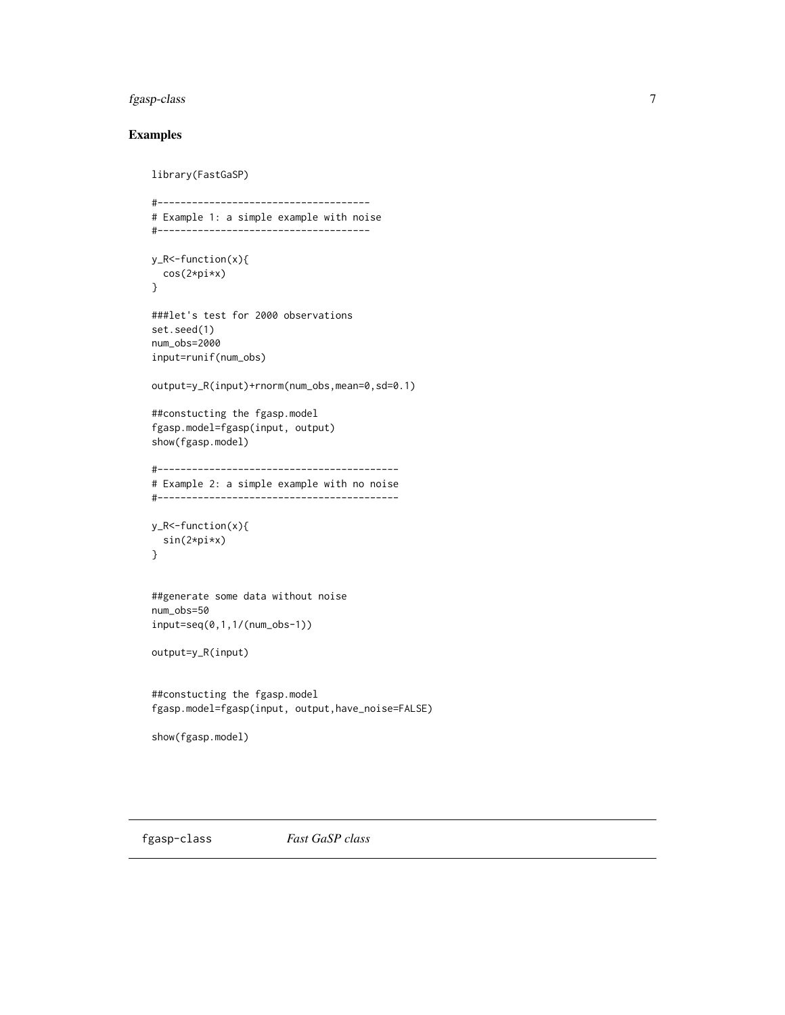## <span id="page-6-0"></span>fgasp-class 7

## Examples

```
library(FastGaSP)
#-------------------------------------
# Example 1: a simple example with noise
#-------------------------------------
y_R<-function(x){
  cos(2*pi*x)
}
###let's test for 2000 observations
set.seed(1)
num_obs=2000
input=runif(num_obs)
output=y_R(input)+rnorm(num_obs,mean=0,sd=0.1)
##constucting the fgasp.model
fgasp.model=fgasp(input, output)
show(fgasp.model)
#------------------------------------------
# Example 2: a simple example with no noise
#------------------------------------------
y_R<-function(x){
  sin(2*pi*x)
}
##generate some data without noise
num_obs=50
input=seq(0,1,1/(num_obs-1))
output=y_R(input)
##constucting the fgasp.model
fgasp.model=fgasp(input, output,have_noise=FALSE)
show(fgasp.model)
```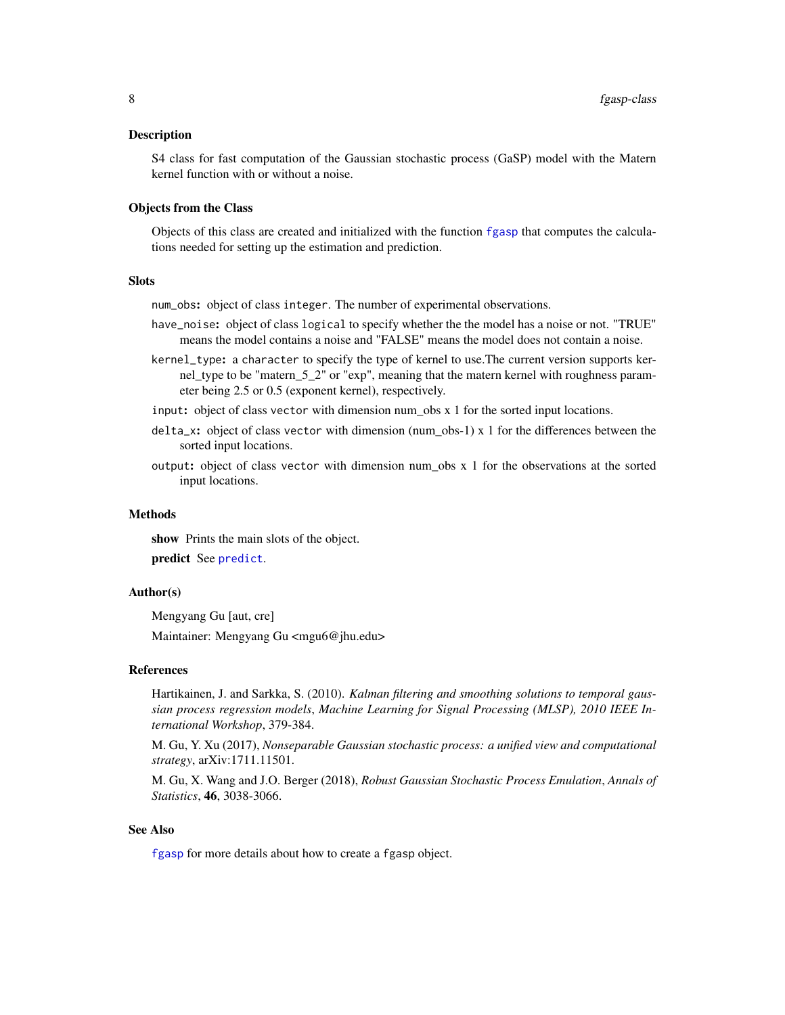<span id="page-7-0"></span>S4 class for fast computation of the Gaussian stochastic process (GaSP) model with the Matern kernel function with or without a noise.

#### Objects from the Class

Objects of this class are created and initialized with the function [fgasp](#page-5-1) that computes the calculations needed for setting up the estimation and prediction.

#### **Slots**

num\_obs: object of class integer. The number of experimental observations.

- have\_noise: object of class logical to specify whether the the model has a noise or not. "TRUE" means the model contains a noise and "FALSE" means the model does not contain a noise.
- kernel\_type: a character to specify the type of kernel to use.The current version supports kernel\_type to be "matern\_5\_2" or "exp", meaning that the matern kernel with roughness parameter being 2.5 or 0.5 (exponent kernel), respectively.
- input: object of class vector with dimension num  $\cos x$  1 for the sorted input locations.
- delta\_x: object of class vector with dimension (num\_obs-1) x 1 for the differences between the sorted input locations.
- output: object of class vector with dimension num\_obs x 1 for the observations at the sorted input locations.

## Methods

show Prints the main slots of the object. predict See [predict](#page-10-1).

### Author(s)

Mengyang Gu [aut, cre]

Maintainer: Mengyang Gu <mgu6@jhu.edu>

#### References

Hartikainen, J. and Sarkka, S. (2010). *Kalman filtering and smoothing solutions to temporal gaussian process regression models*, *Machine Learning for Signal Processing (MLSP), 2010 IEEE International Workshop*, 379-384.

M. Gu, Y. Xu (2017), *Nonseparable Gaussian stochastic process: a unified view and computational strategy*, arXiv:1711.11501.

M. Gu, X. Wang and J.O. Berger (2018), *Robust Gaussian Stochastic Process Emulation*, *Annals of Statistics*, 46, 3038-3066.

#### See Also

[fgasp](#page-5-1) for more details about how to create a fgasp object.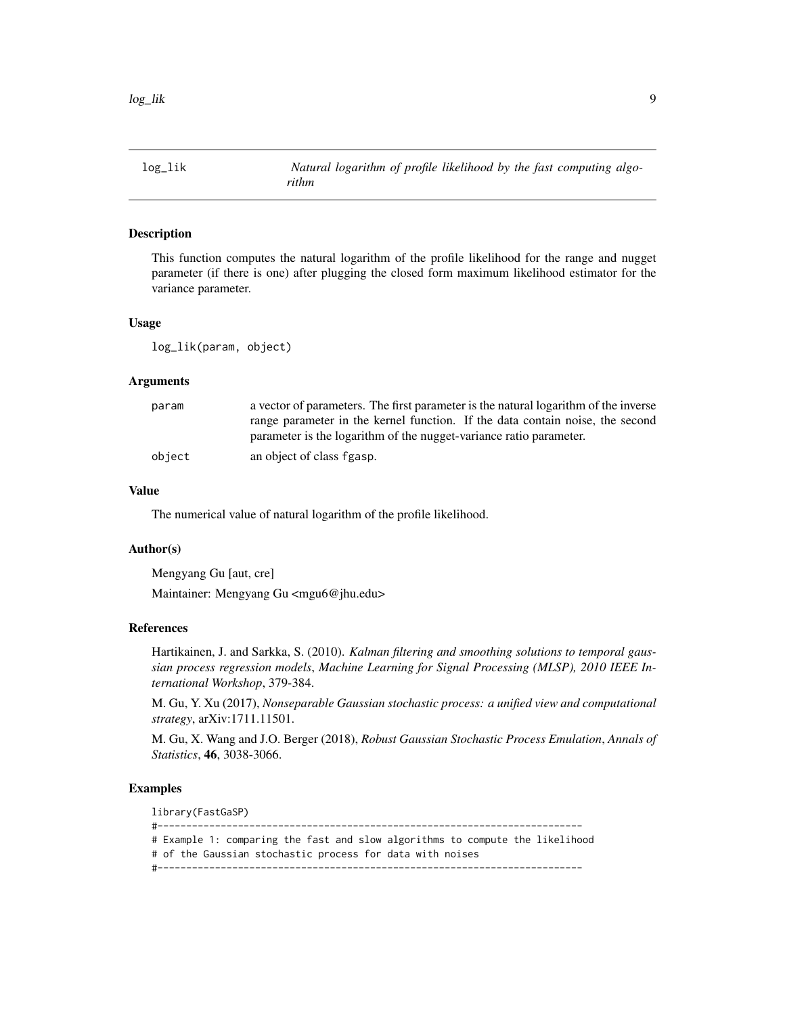<span id="page-8-0"></span>

This function computes the natural logarithm of the profile likelihood for the range and nugget parameter (if there is one) after plugging the closed form maximum likelihood estimator for the variance parameter.

#### Usage

log\_lik(param, object)

#### Arguments

| param  | a vector of parameters. The first parameter is the natural logarithm of the inverse |  |  |  |
|--------|-------------------------------------------------------------------------------------|--|--|--|
|        | range parameter in the kernel function. If the data contain noise, the second       |  |  |  |
|        | parameter is the logarithm of the nugget-variance ratio parameter.                  |  |  |  |
| object | an object of class fgasp.                                                           |  |  |  |

#### Value

The numerical value of natural logarithm of the profile likelihood.

#### Author(s)

Mengyang Gu [aut, cre]

Maintainer: Mengyang Gu <mgu6@jhu.edu>

#### References

Hartikainen, J. and Sarkka, S. (2010). *Kalman filtering and smoothing solutions to temporal gaussian process regression models*, *Machine Learning for Signal Processing (MLSP), 2010 IEEE International Workshop*, 379-384.

M. Gu, Y. Xu (2017), *Nonseparable Gaussian stochastic process: a unified view and computational strategy*, arXiv:1711.11501.

M. Gu, X. Wang and J.O. Berger (2018), *Robust Gaussian Stochastic Process Emulation*, *Annals of Statistics*, 46, 3038-3066.

## Examples

library(FastGaSP) #-------------------------------------------------------------------------- # Example 1: comparing the fast and slow algorithms to compute the likelihood # of the Gaussian stochastic process for data with noises #--------------------------------------------------------------------------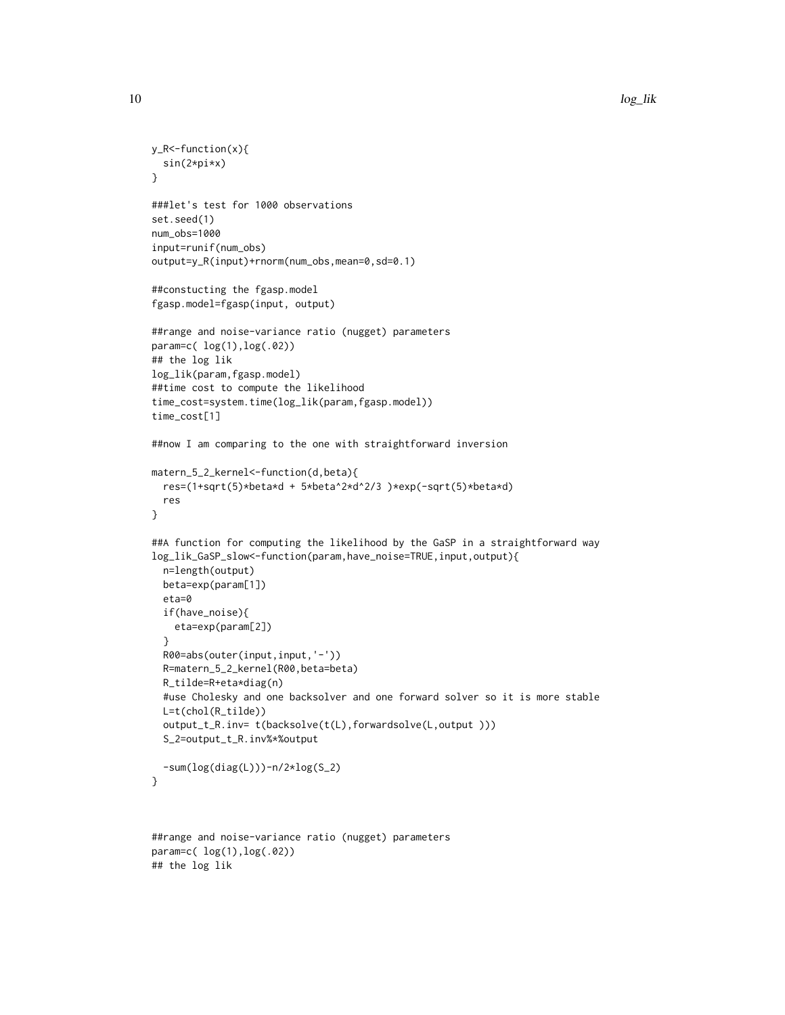```
y_R<-function(x){
  sin(2*pi*x)
}
###let's test for 1000 observations
set.seed(1)
num_obs=1000
input=runif(num_obs)
output=y_R(input)+rnorm(num_obs,mean=0,sd=0.1)
##constucting the fgasp.model
fgasp.model=fgasp(input, output)
##range and noise-variance ratio (nugget) parameters
param=c( log(1),log(.02))
## the log lik
log_lik(param,fgasp.model)
##time cost to compute the likelihood
time_cost=system.time(log_lik(param,fgasp.model))
time_cost[1]
##now I am comparing to the one with straightforward inversion
matern_5_2_kernel<-function(d,beta){
  res=(1+sqrt(5)*beta*d + 5*beta^2*d^2/3 )*exp(-sqrt(5)*beta*d)
  res
}
##A function for computing the likelihood by the GaSP in a straightforward way
log_lik_GaSP_slow<-function(param,have_noise=TRUE,input,output){
  n=length(output)
  beta=exp(param[1])
  eta=0
  if(have_noise){
   eta=exp(param[2])
  }
  R00=abs(outer(input,input,'-'))
  R=matern_5_2_kernel(R00,beta=beta)
  R_tilde=R+eta*diag(n)
  #use Cholesky and one backsolver and one forward solver so it is more stable
  L=t(chol(R_tilde))
  output_t_R.inv= t(backsolve(t(L),forwardsolve(L,output )))
  S_2=output_t_R.inv%*%output
  -sum(log(diag(L))) - n/2*log(S_2)}
##range and noise-variance ratio (nugget) parameters
param=c( log(1),log(.02))
```
## the log lik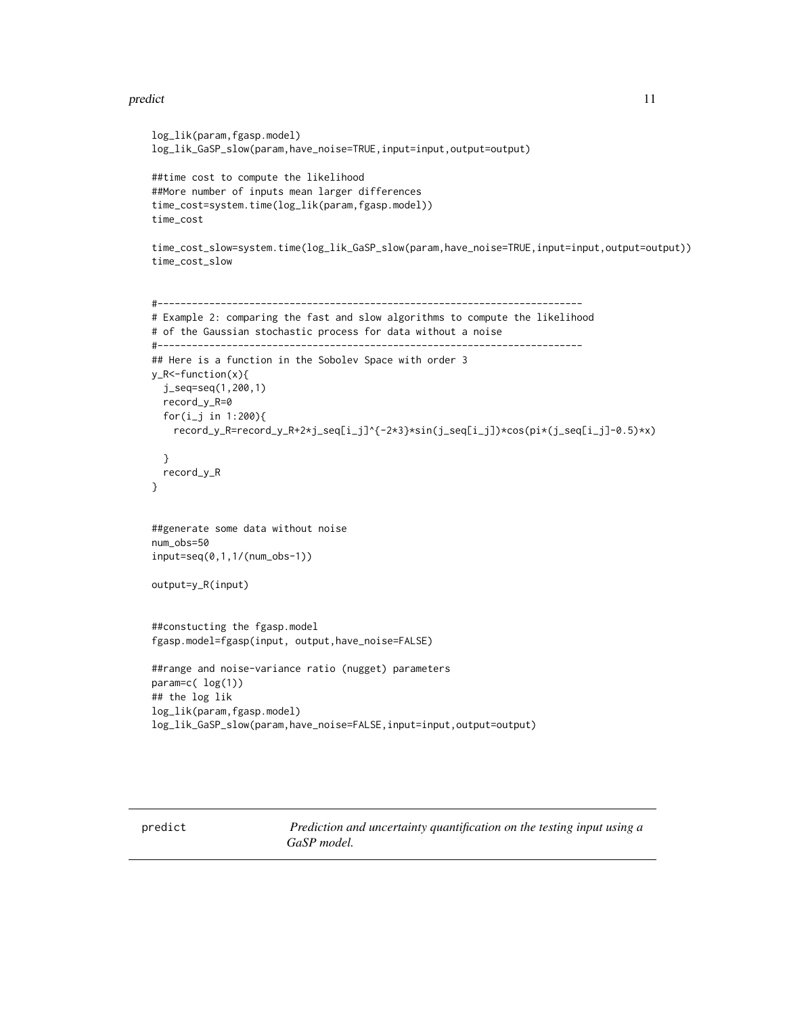#### <span id="page-10-0"></span>predict the contract of the contract of the contract of the contract of the contract of the contract of the contract of the contract of the contract of the contract of the contract of the contract of the contract of the co

```
log_lik(param,fgasp.model)
log_lik_GaSP_slow(param,have_noise=TRUE,input=input,output=output)
##time cost to compute the likelihood
##More number of inputs mean larger differences
time_cost=system.time(log_lik(param,fgasp.model))
time_cost
time_cost_slow=system.time(log_lik_GaSP_slow(param,have_noise=TRUE,input=input,output=output))
time_cost_slow
#--------------------------------------------------------------------------
# Example 2: comparing the fast and slow algorithms to compute the likelihood
# of the Gaussian stochastic process for data without a noise
#--------------------------------------------------------------------------
## Here is a function in the Sobolev Space with order 3
y_R<-function(x){
  j_seq=seq(1,200,1)
  record_y_R=0
  for(i_{-}j in 1:200){
   record_y_R=record_y_R+2*j_seq[i_j]^{-2*3}*sin(j_seq[i_j])*cos(pi*(j_seq[i_j]-0.5)*x)
  }
  record_y_R
}
##generate some data without noise
num_obs=50
input=seq(0,1,1/(num_obs-1))
output=y_R(input)
##constucting the fgasp.model
fgasp.model=fgasp(input, output,have_noise=FALSE)
##range and noise-variance ratio (nugget) parameters
param=c( log(1))
## the log lik
log_lik(param,fgasp.model)
log_lik_GaSP_slow(param,have_noise=FALSE,input=input,output=output)
```
<span id="page-10-1"></span>

<span id="page-10-2"></span>predict *Prediction and uncertainty quantification on the testing input using a GaSP model.*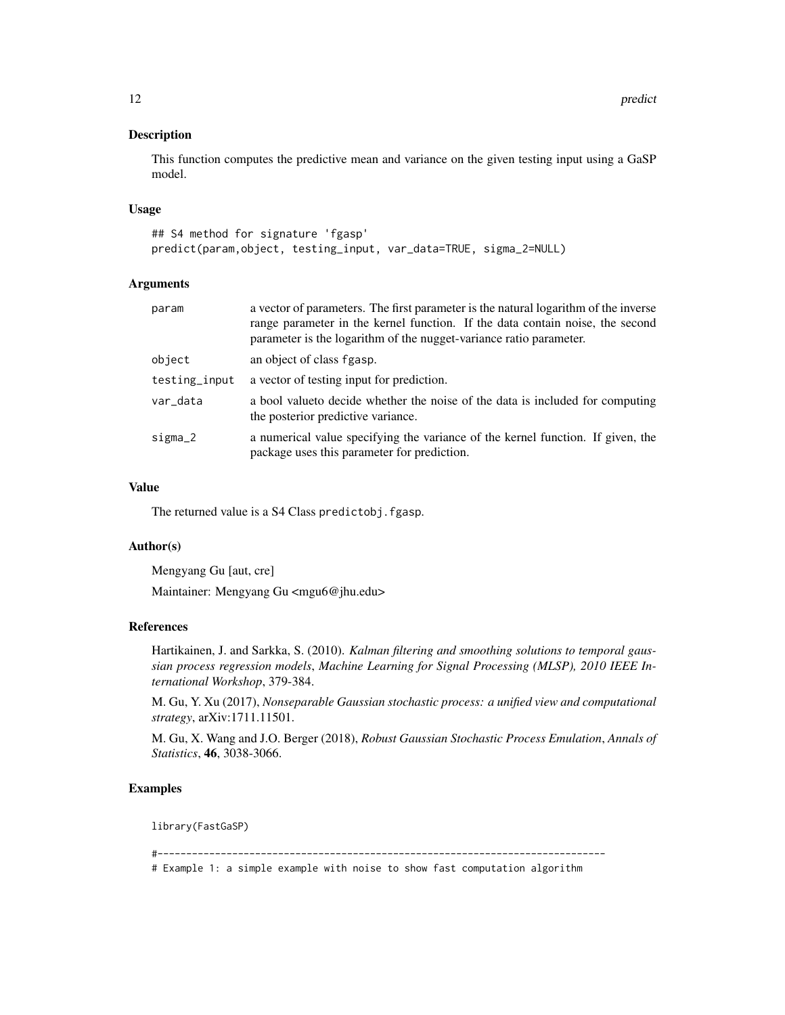This function computes the predictive mean and variance on the given testing input using a GaSP model.

#### Usage

```
## S4 method for signature 'fgasp'
predict(param,object, testing_input, var_data=TRUE, sigma_2=NULL)
```
#### Arguments

| a vector of parameters. The first parameter is the natural logarithm of the inverse<br>range parameter in the kernel function. If the data contain noise, the second<br>parameter is the logarithm of the nugget-variance ratio parameter. |
|--------------------------------------------------------------------------------------------------------------------------------------------------------------------------------------------------------------------------------------------|
| an object of class fgasp.                                                                                                                                                                                                                  |
| a vector of testing input for prediction.                                                                                                                                                                                                  |
| a bool value to decide whether the noise of the data is included for computing<br>the posterior predictive variance.                                                                                                                       |
| a numerical value specifying the variance of the kernel function. If given, the<br>package uses this parameter for prediction.                                                                                                             |
|                                                                                                                                                                                                                                            |

#### Value

The returned value is a S4 Class predictobj.fgasp.

#### Author(s)

Mengyang Gu [aut, cre]

Maintainer: Mengyang Gu <mgu6@jhu.edu>

#### References

Hartikainen, J. and Sarkka, S. (2010). *Kalman filtering and smoothing solutions to temporal gaussian process regression models*, *Machine Learning for Signal Processing (MLSP), 2010 IEEE International Workshop*, 379-384.

M. Gu, Y. Xu (2017), *Nonseparable Gaussian stochastic process: a unified view and computational strategy*, arXiv:1711.11501.

M. Gu, X. Wang and J.O. Berger (2018), *Robust Gaussian Stochastic Process Emulation*, *Annals of Statistics*, 46, 3038-3066.

## Examples

library(FastGaSP)

#------------------------------------------------------------------------------

# Example 1: a simple example with noise to show fast computation algorithm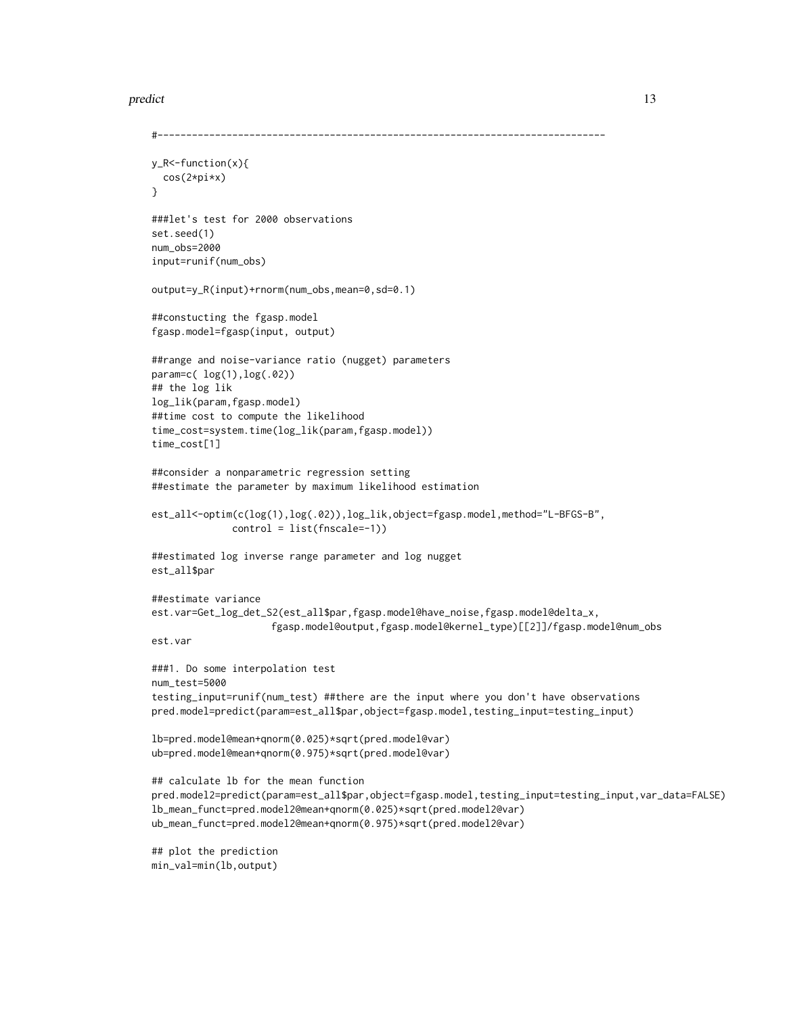#### predict the contract of the contract of the contract of the contract of the contract of the contract of the contract of the contract of the contract of the contract of the contract of the contract of the contract of the co

```
#------------------------------------------------------------------------------
y_R<-function(x){
 cos(2*pi*x)
}
###let's test for 2000 observations
set.seed(1)
num_obs=2000
input=runif(num_obs)
output=y_R(input)+rnorm(num_obs,mean=0,sd=0.1)
##constucting the fgasp.model
fgasp.model=fgasp(input, output)
##range and noise-variance ratio (nugget) parameters
param=c( log(1),log(.02))
## the log lik
log_lik(param,fgasp.model)
##time cost to compute the likelihood
time_cost=system.time(log_lik(param,fgasp.model))
time_cost[1]
##consider a nonparametric regression setting
##estimate the parameter by maximum likelihood estimation
est_all<-optim(c(log(1),log(.02)),log_lik,object=fgasp.model,method="L-BFGS-B",
              control = list(fnscale=-1))
##estimated log inverse range parameter and log nugget
est_all$par
##estimate variance
est.var=Get_log_det_S2(est_all$par,fgasp.model@have_noise,fgasp.model@delta_x,
                     fgasp.model@output,fgasp.model@kernel_type)[[2]]/fgasp.model@num_obs
est.var
###1. Do some interpolation test
num_test=5000
testing_input=runif(num_test) ##there are the input where you don't have observations
pred.model=predict(param=est_all$par,object=fgasp.model,testing_input=testing_input)
lb=pred.model@mean+qnorm(0.025)*sqrt(pred.model@var)
ub=pred.model@mean+qnorm(0.975)*sqrt(pred.model@var)
## calculate lb for the mean function
pred.model2=predict(param=est_all$par,object=fgasp.model,testing_input=testing_input,var_data=FALSE)
lb_mean_funct=pred.model2@mean+qnorm(0.025)*sqrt(pred.model2@var)
ub_mean_funct=pred.model2@mean+qnorm(0.975)*sqrt(pred.model2@var)
## plot the prediction
min_val=min(lb,output)
```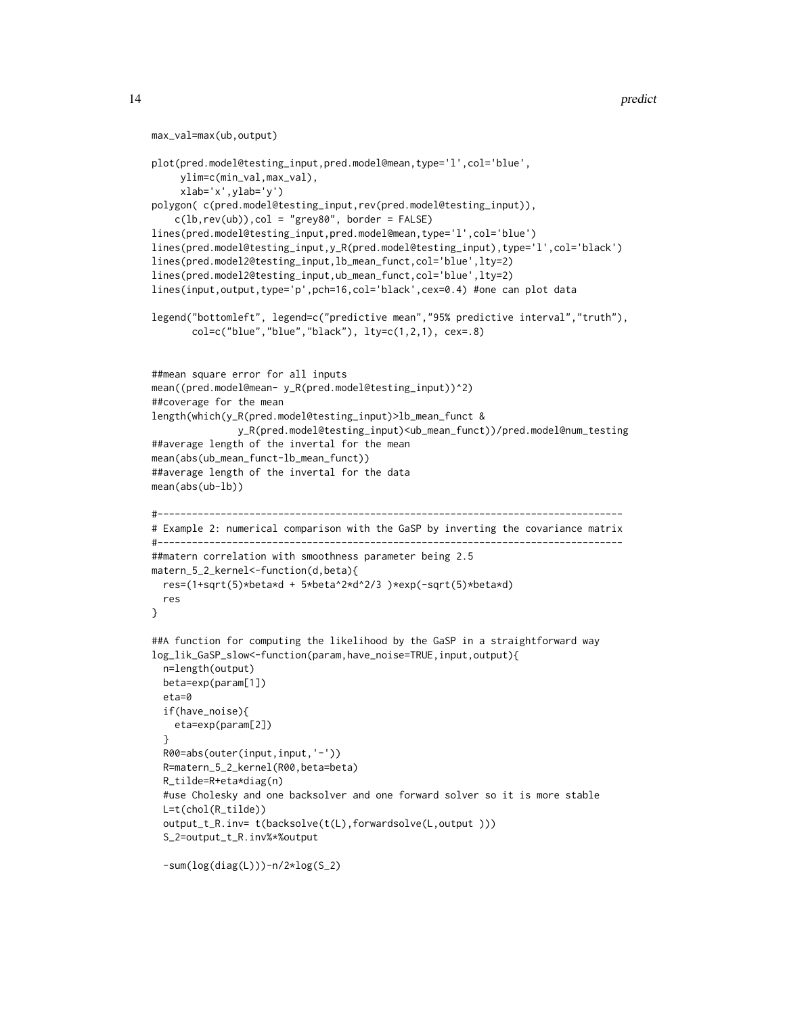```
max_val=max(ub,output)
plot(pred.model@testing_input,pred.model@mean,type='l',col='blue',
     ylim=c(min_val,max_val),
     xlab='x',ylab='y')
polygon( c(pred.model@testing_input,rev(pred.model@testing_input)),
    c(lb,rev(ub)), col = "grey80", border = FALSE)lines(pred.model@testing_input,pred.model@mean,type='l',col='blue')
lines(pred.model@testing_input,y_R(pred.model@testing_input),type='l',col='black')
lines(pred.model2@testing_input,lb_mean_funct,col='blue',lty=2)
lines(pred.model2@testing_input,ub_mean_funct,col='blue',lty=2)
lines(input,output,type='p',pch=16,col='black',cex=0.4) #one can plot data
legend("bottomleft", legend=c("predictive mean","95% predictive interval","truth"),
       col=c("blue","blue","black"), lty=c(1,2,1), cex=.8)
##mean square error for all inputs
mean((pred.model@mean- y_R(pred.model@testing_input))^2)
##coverage for the mean
length(which(y_R(pred.model@testing_input)>lb_mean_funct &
               y_R(pred.model@testing_input)<ub_mean_funct))/pred.model@num_testing
##average length of the invertal for the mean
mean(abs(ub_mean_funct-lb_mean_funct))
##average length of the invertal for the data
mean(abs(ub-lb))
#---------------------------------------------------------------------------------
# Example 2: numerical comparison with the GaSP by inverting the covariance matrix
#---------------------------------------------------------------------------------
##matern correlation with smoothness parameter being 2.5
matern_5_2_kernel<-function(d,beta){
 res=(1+sqrt(5)*beta*d + 5*beta^2*d^2/3 )*exp(-sqrt(5)*beta*d)
 res
}
##A function for computing the likelihood by the GaSP in a straightforward way
log_lik_GaSP_slow<-function(param,have_noise=TRUE,input,output){
 n=length(output)
 beta=exp(param[1])
 eta=0
 if(have_noise){
    eta=exp(param[2])
 }
 R00=abs(outer(input,input,'-'))
 R=matern_5_2_kernel(R00,beta=beta)
 R_tilde=R+eta*diag(n)
 #use Cholesky and one backsolver and one forward solver so it is more stable
 L=t(chol(R_tilde))
 output_t_R.inv= t(backsolve(t(L),forwardsolve(L,output )))
 S_2=output_t_R.inv%*%output
  -sum(log(diag(L)))-n/2*log(S_2)
```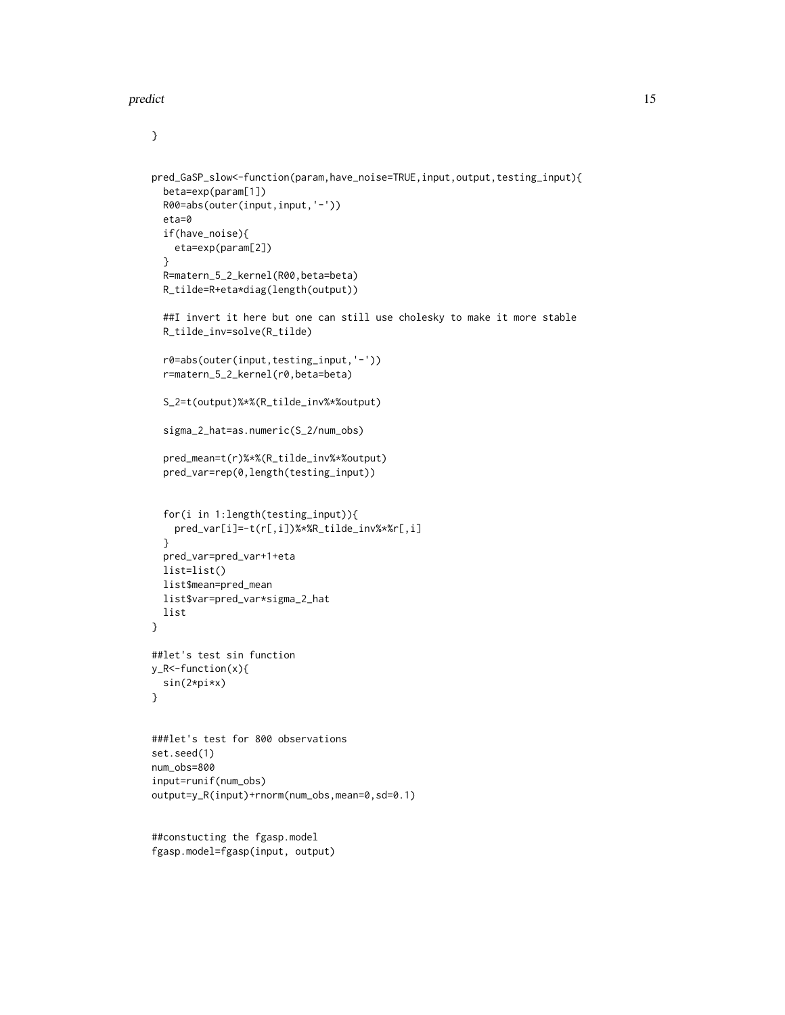#### predict the contract of the contract of the contract of the contract of the contract of the contract of the contract of the contract of the contract of the contract of the contract of the contract of the contract of the co

#### }

```
pred_GaSP_slow<-function(param,have_noise=TRUE,input,output,testing_input){
  beta=exp(param[1])
  R00=abs(outer(input,input,'-'))
  eta=0
  if(have_noise){
   eta=exp(param[2])
  }
  R=matern_5_2_kernel(R00,beta=beta)
  R_tilde=R+eta*diag(length(output))
  ##I invert it here but one can still use cholesky to make it more stable
  R_tilde_inv=solve(R_tilde)
  r0=abs(outer(input,testing_input,'-'))
  r=matern_5_2_kernel(r0,beta=beta)
  S_2=t(output)%*%(R_tilde_inv%*%output)
  sigma_2_hat=as.numeric(S_2/num_obs)
  pred_mean=t(r)%*%(R_tilde_inv%*%output)
  pred_var=rep(0,length(testing_input))
  for(i in 1:length(testing_input)){
   pred_var[i]=-t(r[,i])%*%R_tilde_inv%*%r[,i]
  }
  pred_var=pred_var+1+eta
  list=list()
  list$mean=pred_mean
  list$var=pred_var*sigma_2_hat
  list
}
##let's test sin function
y_R<-function(x){
  sin(2*pi*x)
}
###let's test for 800 observations
set.seed(1)
num_obs=800
input=runif(num_obs)
output=y_R(input)+rnorm(num_obs,mean=0,sd=0.1)
```
##constucting the fgasp.model fgasp.model=fgasp(input, output)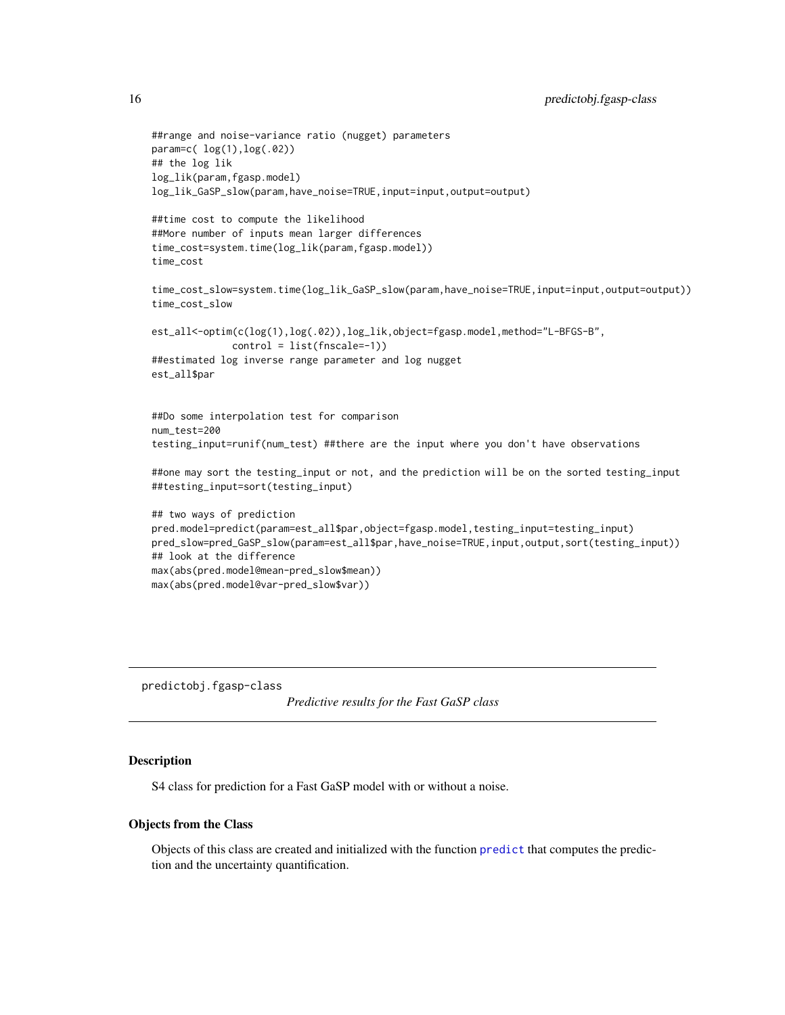```
##range and noise-variance ratio (nugget) parameters
param=c( log(1),log(.02))
## the log lik
log_lik(param,fgasp.model)
log_lik_GaSP_slow(param,have_noise=TRUE,input=input,output=output)
##time cost to compute the likelihood
##More number of inputs mean larger differences
time_cost=system.time(log_lik(param,fgasp.model))
time_cost
time_cost_slow=system.time(log_lik_GaSP_slow(param,have_noise=TRUE,input=input,output=output))
time_cost_slow
est_all<-optim(c(log(1),log(.02)),log_lik,object=fgasp.model,method="L-BFGS-B",
              control = list(fnscale=-1))
##estimated log inverse range parameter and log nugget
est_all$par
##Do some interpolation test for comparison
num_test=200
testing_input=runif(num_test) ##there are the input where you don't have observations
##one may sort the testing_input or not, and the prediction will be on the sorted testing_input
##testing_input=sort(testing_input)
## two ways of prediction
pred.model=predict(param=est_all$par,object=fgasp.model,testing_input=testing_input)
pred_slow=pred_GaSP_slow(param=est_all$par,have_noise=TRUE,input,output,sort(testing_input))
## look at the difference
max(abs(pred.model@mean-pred_slow$mean))
max(abs(pred.model@var-pred_slow$var))
```
predictobj.fgasp-class

*Predictive results for the Fast GaSP class*

#### Description

S4 class for prediction for a Fast GaSP model with or without a noise.

#### Objects from the Class

Objects of this class are created and initialized with the function [predict](#page-10-2) that computes the prediction and the uncertainty quantification.

<span id="page-15-0"></span>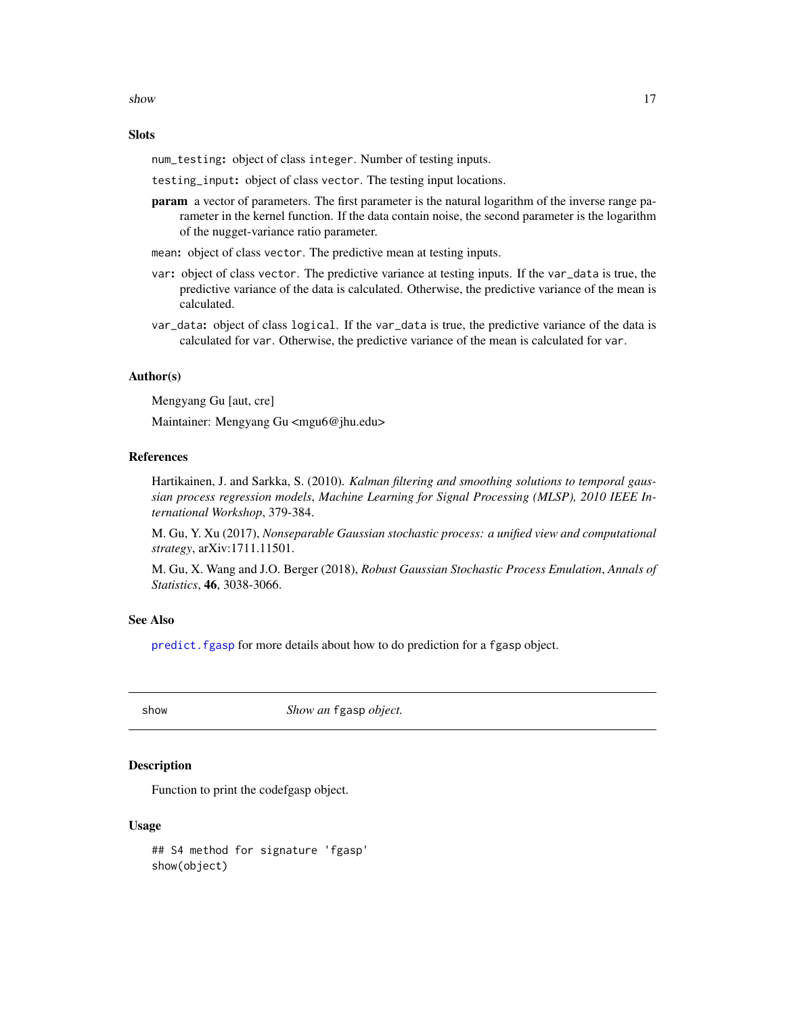<span id="page-16-0"></span>show the state of  $\sim$  17

#### **Slots**

num\_testing: object of class integer. Number of testing inputs.

testing\_input: object of class vector. The testing input locations.

**param** a vector of parameters. The first parameter is the natural logarithm of the inverse range parameter in the kernel function. If the data contain noise, the second parameter is the logarithm of the nugget-variance ratio parameter.

mean: object of class vector. The predictive mean at testing inputs.

- var: object of class vector. The predictive variance at testing inputs. If the var\_data is true, the predictive variance of the data is calculated. Otherwise, the predictive variance of the mean is calculated.
- var\_data: object of class logical. If the var\_data is true, the predictive variance of the data is calculated for var. Otherwise, the predictive variance of the mean is calculated for var.

#### Author(s)

Mengyang Gu [aut, cre]

Maintainer: Mengyang Gu <mgu6@jhu.edu>

## References

Hartikainen, J. and Sarkka, S. (2010). *Kalman filtering and smoothing solutions to temporal gaussian process regression models*, *Machine Learning for Signal Processing (MLSP), 2010 IEEE International Workshop*, 379-384.

M. Gu, Y. Xu (2017), *Nonseparable Gaussian stochastic process: a unified view and computational strategy*, arXiv:1711.11501.

M. Gu, X. Wang and J.O. Berger (2018), *Robust Gaussian Stochastic Process Emulation*, *Annals of Statistics*, 46, 3038-3066.

## See Also

predict. fgasp for more details about how to do prediction for a fgasp object.

show *Show an* fgasp *object.*

### Description

Function to print the codefgasp object.

#### Usage

## S4 method for signature 'fgasp' show(object)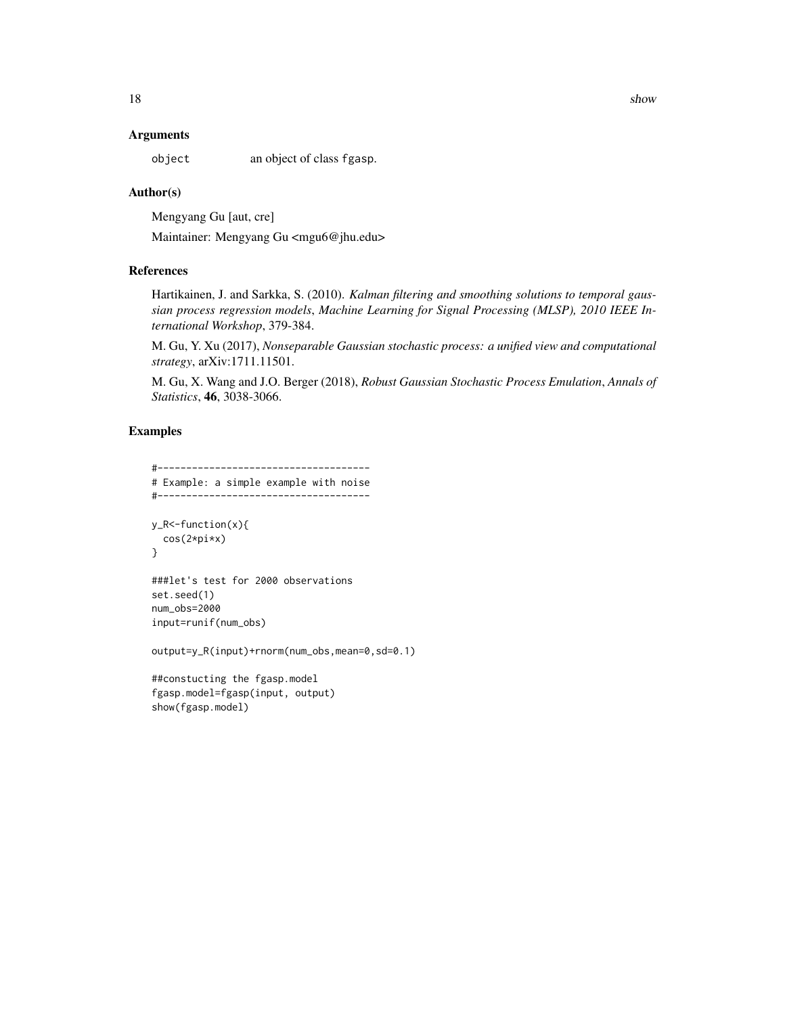#### **Arguments**

object an object of class fgasp.

#### Author(s)

Mengyang Gu [aut, cre]

Maintainer: Mengyang Gu <mgu6@jhu.edu>

#### References

Hartikainen, J. and Sarkka, S. (2010). *Kalman filtering and smoothing solutions to temporal gaussian process regression models*, *Machine Learning for Signal Processing (MLSP), 2010 IEEE International Workshop*, 379-384.

M. Gu, Y. Xu (2017), *Nonseparable Gaussian stochastic process: a unified view and computational strategy*, arXiv:1711.11501.

M. Gu, X. Wang and J.O. Berger (2018), *Robust Gaussian Stochastic Process Emulation*, *Annals of Statistics*, 46, 3038-3066.

## Examples

```
#-------------------------------------
# Example: a simple example with noise
#-------------------------------------
y_R<-function(x){
  cos(2*pi*x)
}
###let's test for 2000 observations
set.seed(1)
num_obs=2000
input=runif(num_obs)
output=y_R(input)+rnorm(num_obs,mean=0,sd=0.1)
```

```
##constucting the fgasp.model
fgasp.model=fgasp(input, output)
show(fgasp.model)
```